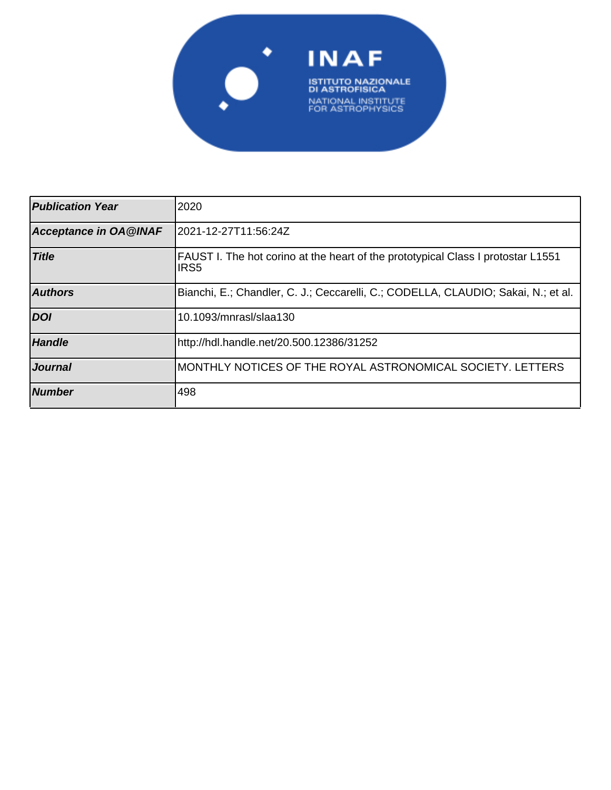

| <b>Publication Year</b>      | 2020                                                                                                 |
|------------------------------|------------------------------------------------------------------------------------------------------|
| <b>Acceptance in OA@INAF</b> | 2021-12-27T11:56:24Z                                                                                 |
| <b>Title</b>                 | FAUST I. The hot corino at the heart of the prototypical Class I protostar L1551<br>IRS <sub>5</sub> |
| <b>Authors</b>               | Bianchi, E.; Chandler, C. J.; Ceccarelli, C.; CODELLA, CLAUDIO; Sakai, N.; et al.                    |
| <b>DOI</b>                   | 10.1093/mnrasl/slaa130                                                                               |
| <b>Handle</b>                | http://hdl.handle.net/20.500.12386/31252                                                             |
| <b>Journal</b>               | MONTHLY NOTICES OF THE ROYAL ASTRONOMICAL SOCIETY. LETTERS                                           |
| <b>Number</b>                | 498                                                                                                  |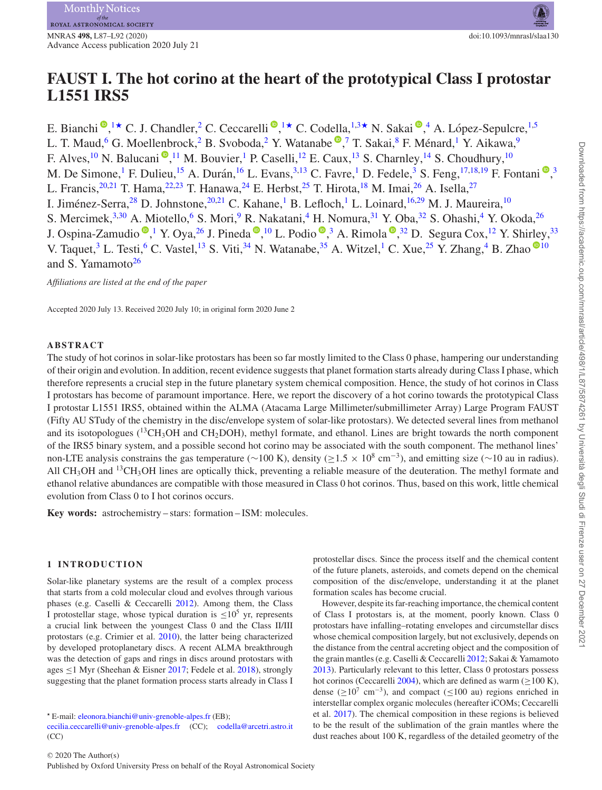# **FAUST I. The hot corino at the heart of the prototypical Class I protostar L1551 IRS5**

E. Bianchi<sup>n</sup>[,](http://orcid.org/0000-0002-3297-4497) <sup>1</sup> C. J. Chandler, <sup>2</sup> C. Ceccarelli<sup>n</sup>, <sup>1</sup> C. Codella, <sup>1,3</sup> N. Sakai<sup>n</sup>, <sup>4</sup> A. López-Sepulcre, <sup>1,5</sup> L. T. Maud[,](http://orcid.org/0000-0002-9668-3592)<sup>6</sup> G. Moellenbrock,<sup>2</sup> B. Svoboda,<sup>2</sup> Y. Watanabe <sup>®</sup>,<sup>7</sup> T. Sakai,<sup>8</sup> F. Ménard,<sup>1</sup> Y. Aikawa,<sup>9</sup> F. Alves[,](http://orcid.org/0000-0001-5121-5683)  $^{10}$  N. Balucani  $\bigcirc$ ,  $^{11}$  M. Bouvier,  $^{1}$  P. Caselli,  $^{12}$  E. Caux,  $^{13}$  S. Charnley,  $^{14}$  S. Choudhury,  $^{10}$ M. De Simone[,](http://orcid.org/0000-0003-0348-3418)<sup>1</sup> F. Dulieu,<sup>15</sup> A. Durán,<sup>16</sup> L. Evans,<sup>3,13</sup> C. Favre,<sup>1</sup> D. Fedele,<sup>3</sup> S. Feng,<sup>17,18,19</sup> F. Fontani <sup>®</sup>,<sup>3</sup> L. Francis,  $20,21$  T. Hama,  $22,23$  T. Hanawa,  $24$  E. Herbst,  $25$  T. Hirota,  $18$  M. Imai,  $26$  A. Isella,  $27$ I. Jiménez-Serra, <sup>28</sup> D. Johnstone, <sup>20,21</sup> C. Kahane, <sup>1</sup> B. Lefloch, <sup>1</sup> L. Loinard, <sup>16,29</sup> M. J. Maureira, <sup>10</sup> S. Mercimek,<sup>3,30</sup> A. Miotello,<sup>6</sup> S. Mori,<sup>9</sup> R. Nakatani,<sup>4</sup> H. Nomura,<sup>31</sup> Y. Oba,<sup>32</sup> S. Ohashi,<sup>4</sup> Y. Okoda,<sup>26</sup> J. Ospina-Zamudio  $\bigcirc$ [,](http://orcid.org/0000-0002-9637-4554) <sup>1</sup> Y. Oya, <sup>26</sup> J. Pineda  $\bigcirc$ , <sup>10</sup> L. Podio  $\bigcirc$ , <sup>3</sup> A. Rimola  $\bigcirc$ , <sup>32</sup> D. Segura Cox, <sup>12</sup> Y. Shirley, <sup>33</sup> V. Taquet,<sup>3</sup> L. Testi,<sup>6</sup> C. Vastel,<sup>[1](http://orcid.org/0000-0002-5359-8072)3</sup> S. Viti,<sup>34</sup> N. Watanabe,<sup>35</sup> A. Witzel,<sup>1</sup> C. Xue,<sup>25</sup> Y. Zhang,<sup>4</sup> B. Zhao <sup>10</sup> and S. Yamamoto $26$ 

*Affiliations are listed at the end of the paper*

Accepted 2020 July 13. Received 2020 July 10; in original form 2020 June 2

### **ABSTRACT**

The study of hot corinos in solar-like protostars has been so far mostly limited to the Class 0 phase, hampering our understanding of their origin and evolution. In addition, recent evidence suggests that planet formation starts already during Class I phase, which therefore represents a crucial step in the future planetary system chemical composition. Hence, the study of hot corinos in Class I protostars has become of paramount importance. Here, we report the discovery of a hot corino towards the prototypical Class I protostar L1551 IRS5, obtained within the ALMA (Atacama Large Millimeter/submillimeter Array) Large Program FAUST (Fifty AU STudy of the chemistry in the disc/envelope system of solar-like protostars). We detected several lines from methanol and its isotopologues ( ${}^{13}CH_3OH$  and  $CH_2DOH$ ), methyl formate, and ethanol. Lines are bright towards the north component of the IRS5 binary system, and a possible second hot corino may be associated with the south component. The methanol lines' non-LTE analysis constrains the gas temperature ( $\sim$ 100 K), density ( $\geq$ 1.5 × 10<sup>8</sup> cm<sup>-3</sup>), and emitting size ( $\sim$ 10 au in radius). All CH<sub>3</sub>OH and <sup>13</sup>CH<sub>3</sub>OH lines are optically thick, preventing a reliable measure of the deuteration. The methyl formate and ethanol relative abundances are compatible with those measured in Class 0 hot corinos. Thus, based on this work, little chemical evolution from Class 0 to I hot corinos occurs.

**Key words:** astrochemistry – stars: formation – ISM: molecules.

#### **1 INTRODUCTION**

Solar-like planetary systems are the result of a complex process that starts from a cold molecular cloud and evolves through various phases (e.g. Caselli & Ceccarelli 2012). Among them, the Class I protostellar stage, whose typical duration is  $\leq 10^5$  yr, represents a crucial link between the youngest Class 0 and the Class II/III protostars (e.g. Crimier et al. 2010), the latter being characterized by developed protoplanetary discs. A recent ALMA breakthrough was the detection of gaps and rings in discs around protostars with ages ≤1 Myr (Sheehan & Eisner 2017; Fedele et al. 2018), strongly suggesting that the planet formation process starts already in Class I

protostellar discs. Since the process itself and the chemical content of the future planets, asteroids, and comets depend on the chemical composition of the disc/envelope, understanding it at the planet formation scales has become crucial.

However, despite its far-reaching importance, the chemical content of Class I protostars is, at the moment, poorly known. Class 0 protostars have infalling–rotating envelopes and circumstellar discs whose chemical composition largely, but not exclusively, depends on the distance from the central accreting object and the composition of the grain mantles (e.g. Caselli & Ceccarelli 2012; Sakai & Yamamoto 2013). Particularly relevant to this letter, Class 0 protostars possess hot corinos (Ceccarelli 2004), which are defined as warm ( $\geq$ 100 K), dense ( $\geq 10^7$  cm<sup>-3</sup>), and compact ( $\leq 100$  au) regions enriched in interstellar complex organic molecules (hereafter iCOMs; Ceccarelli et al. 2017). The chemical composition in these regions is believed to be the result of the sublimation of the grain mantles where the dust reaches about 100 K, regardless of the detailed geometry of the

*<sup>-</sup>* E-mail: [eleonora.bianchi@univ-grenoble-alpes.fr](mailto:eleonora.bianchi@univ-grenoble-alpes.fr) (EB);

[cecilia.ceccarelli@univ-grenoble-alpes.fr](mailto:codella@arcetri.astro.it) (CC); [codella@arcetri.astro.it](mailto:cecilia.ceccarelli@univ-grenoble-alpes.fr) (CC)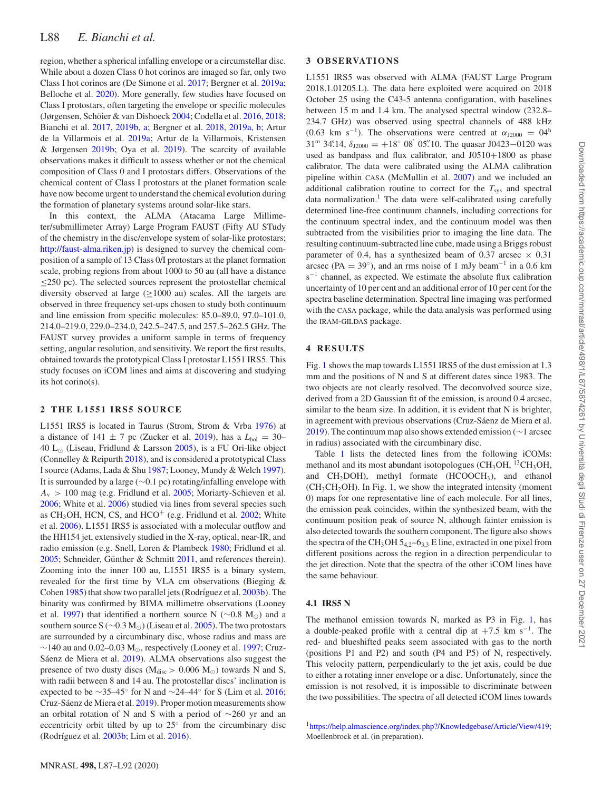region, whether a spherical infalling envelope or a circumstellar disc. While about a dozen Class 0 hot corinos are imaged so far, only two Class I hot corinos are (De Simone et al. 2017; Bergner et al. 2019a; Belloche et al. 2020). More generally, few studies have focused on Class I protostars, often targeting the envelope or specific molecules (Jørgensen, Schöier & van Dishoeck 2004; Codella et al. 2016, 2018; Bianchi et al. 2017, 2019b, a; Bergner et al. 2018, 2019a, b; Artur de la Villarmois et al. 2019a; Artur de la Villarmois, Kristensen & Jørgensen 2019b; Oya et al. 2019). The scarcity of available observations makes it difficult to assess whether or not the chemical composition of Class 0 and I protostars differs. Observations of the chemical content of Class I protostars at the planet formation scale have now become urgent to understand the chemical evolution during the formation of planetary systems around solar-like stars.

In this context, the ALMA (Atacama Large Millimeter/submillimeter Array) Large Program FAUST (Fifty AU STudy of the chemistry in the disc/envelope system of solar-like protostars; [http://faust-alma.riken.jp\)](http://faust-alma.riken.jp) is designed to survey the chemical composition of a sample of 13 Class 0/I protostars at the planet formation scale, probing regions from about 1000 to 50 au (all have a distance ≤250 pc). The selected sources represent the protostellar chemical diversity observed at large ( $\geq$ 1000 au) scales. All the targets are observed in three frequency set-ups chosen to study both continuum and line emission from specific molecules: 85.0–89.0, 97.0–101.0, 214.0–219.0, 229.0–234.0, 242.5–247.5, and 257.5–262.5 GHz. The FAUST survey provides a uniform sample in terms of frequency setting, angular resolution, and sensitivity. We report the first results, obtained towards the prototypical Class I protostar L1551 IRS5. This study focuses on iCOM lines and aims at discovering and studying its hot corino(s).

#### **2 THE L1551 IRS5 SOURCE**

L1551 IRS5 is located in Taurus (Strom, Strom & Vrba 1976) at a distance of 141  $\pm$  7 pc (Zucker et al. 2019), has a  $L_{bol} = 30-$ 40  $L_{\odot}$  (Liseau, Fridlund & Larsson 2005), is a FU Ori-like object (Connelley & Reipurth 2018), and is considered a prototypical Class I source (Adams, Lada & Shu 1987; Looney, Mundy & Welch 1997). It is surrounded by a large (∼0.1 pc) rotating/infalling envelope with  $A<sub>v</sub>$  *>* 100 mag (e.g. Fridlund et al. 2005; Moriarty-Schieven et al. 2006; White et al. 2006) studied via lines from several species such as CH<sub>3</sub>OH, HCN, CS, and HCO<sup>+</sup> (e.g. Fridlund et al.  $2002$ ; White et al. 2006). L1551 IRS5 is associated with a molecular outflow and the HH154 jet, extensively studied in the X-ray, optical, near-IR, and radio emission (e.g. Snell, Loren & Plambeck 1980; Fridlund et al.  $2005$ ; Schneider, Günther & Schmitt  $2011$ , and references therein). Zooming into the inner 100 au, L1551 IRS5 is a binary system, revealed for the first time by VLA cm observations (Bieging & Cohen 1985) that show two parallel jets (Rodríguez et al. 2003b). The binarity was confirmed by BIMA millimetre observations (Looney et al. 1997) that identified a northern source N ( $\sim$ 0.8 M<sub>☉</sub>) and a southern source S ( $\sim$ 0.3 M<sub>☉</sub>) (Liseau et al. 2005). The two protostars are surrounded by a circumbinary disc, whose radius and mass are  $\sim$ 140 au and 0.02–0.03 M<sub>☉</sub>, respectively (Looney et al. 1997; Cruz-Sáenz de Miera et al. 2019). ALMA observations also suggest the presence of two dusty discs ( $M_{disc}$  > 0.006  $M_{\odot}$ ) towards N and S, with radii between 8 and 14 au. The protostellar discs' inclination is expected to be ∼35–45° for N and ∼24–44° for S (Lim et al. 2016; Cruz-Sáenz de Miera et al. 2019). Proper motion measurements show an orbital rotation of N and S with a period of ∼260 yr and an eccentricity orbit tilted by up to 25◦ from the circumbinary disc (Rodríguez et al.  $2003b$ ; Lim et al.  $2016$ ).

## **3 OBSERVATIONS**

L1551 IRS5 was observed with ALMA (FAUST Large Program 2018.1.01205.L). The data here exploited were acquired on 2018 October 25 using the C43-5 antenna configuration, with baselines between 15 m and 1.4 km. The analysed spectral window (232.8– 234.7 GHz) was observed using spectral channels of 488 kHz (0.63 km s<sup>-1</sup>). The observations were centred at  $\alpha_{J2000} = 04^h$  $31^{\rm m}$   $34^{\rm s}$  $14$ ,  $\delta_{\text{J2000}} = +18^{\circ}$  08<sup>'</sup> 05<sup>'</sup>. 10. The quasar J0423–0120 was used as bandpass and flux calibrator, and J0510+1800 as phase calibrator. The data were calibrated using the ALMA calibration pipeline within CASA (McMullin et al. 2007) and we included an additional calibration routine to correct for the  $T_{\text{sys}}$  and spectral data normalization.<sup>1</sup> The data were self-calibrated using carefully determined line-free continuum channels, including corrections for the continuum spectral index, and the continuum model was then subtracted from the visibilities prior to imaging the line data. The resulting continuum-subtracted line cube, made using a Briggs robust parameter of 0.4, has a synthesized beam of 0.37 arcsec  $\times$  0.31 arcsec (PA = 39<sup>°</sup>), and an rms noise of 1 mJy beam<sup>-1</sup> in a 0.6 km s<sup>-1</sup> channel, as expected. We estimate the absolute flux calibration uncertainty of 10 per cent and an additional error of 10 per cent for the spectra baseline determination. Spectral line imaging was performed with the CASA package, while the data analysis was performed using the IRAM-GILDAS package.

#### **4 RESULTS**

Fig. 1 shows the map towards L1551 IRS5 of the dust emission at 1.3 mm and the positions of N and S at different dates since 1983. The two objects are not clearly resolved. The deconvolved source size, derived from a 2D Gaussian fit of the emission, is around 0.4 arcsec, similar to the beam size. In addition, it is evident that N is brighter, in agreement with previous observations (Cruz-Sáenz de Miera et al. 2019). The continuum map also shows extended emission (∼1 arcsec in radius) associated with the circumbinary disc.

Table 1 lists the detected lines from the following iCOMs: methanol and its most abundant isotopologues ( $CH<sub>3</sub>OH$ ,  $^{13}CH<sub>3</sub>OH$ , and  $CH<sub>2</sub>DOH$ ), methyl formate (HCOOCH<sub>3</sub>), and ethanol  $(CH<sub>3</sub>CH<sub>2</sub>OH)$ . In Fig. 1, we show the integrated intensity (moment 0) maps for one representative line of each molecule. For all lines, the emission peak coincides, within the synthesized beam, with the continuum position peak of source N, although fainter emission is also detected towards the southern component. The figure also shows the spectra of the CH<sub>3</sub>OH  $5<sub>4,2</sub>$ –6<sub>3,3</sub> E line, extracted in one pixel from different positions across the region in a direction perpendicular to the jet direction. Note that the spectra of the other iCOM lines have the same behaviour.

### **4.1 IRS5 N**

The methanol emission towards N, marked as P3 in Fig. 1, has a double-peaked profile with a central dip at  $+7.5$  km s<sup>-1</sup>. The red- and blueshifted peaks seem associated with gas to the north (positions P1 and P2) and south (P4 and P5) of N, respectively. This velocity pattern, perpendicularly to the jet axis, could be due to either a rotating inner envelope or a disc. Unfortunately, since the emission is not resolved, it is impossible to discriminate between the two possibilities. The spectra of all detected iCOM lines towards

<sup>1</sup>https://help.almascience.org/index.php?/Knowledgebase/Article/View/419; Moellenbrock et al. (in preparation).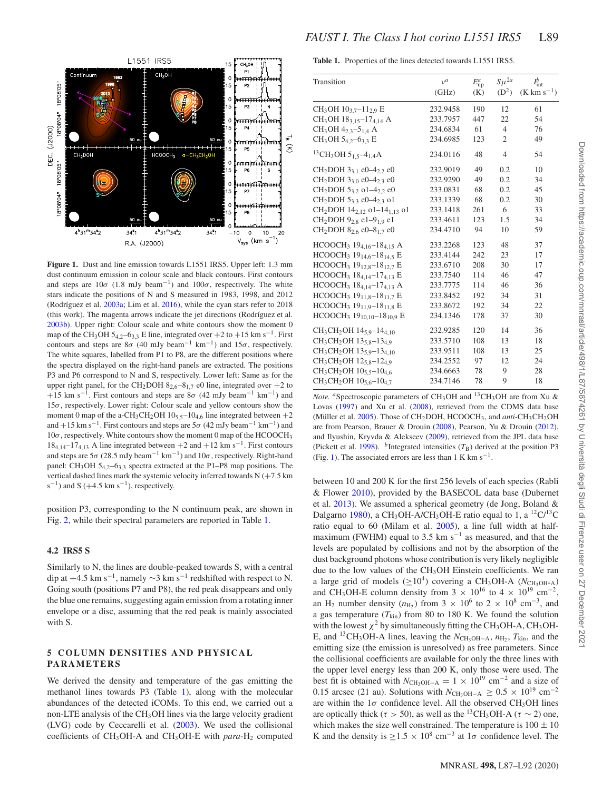

**Figure 1.** Dust and line emission towards L1551 IRS5. Upper left: 1.3 mm dust continuum emission in colour scale and black contours. First contours and steps are  $10\sigma$  (1.8 mJy beam<sup>-1</sup>) and  $100\sigma$ , respectively. The white stars indicate the positions of N and S measured in 1983, 1998, and 2012 (Rodríguez et al.  $2003a$ ; Lim et al.  $2016$ ), while the cyan stars refer to  $2018$ (this work). The magenta arrows indicate the jet directions (Rodríguez et al. 2003b). Upper right: Colour scale and white contours show the moment 0 map of the CH<sub>3</sub>OH 5<sub>4,2</sub>–6<sub>3,3</sub> E line, integrated over +2 to +15 km s<sup>-1</sup>. First contours and steps are 8 $\sigma$  (40 mJy beam<sup>-1</sup> km<sup>-1</sup>) and 15 $\sigma$ , respectively. The white squares, labelled from P1 to P8, are the different positions where the spectra displayed on the right-hand panels are extracted. The positions P3 and P6 correspond to N and S, respectively. Lower left: Same as for the upper right panel, for the CH<sub>2</sub>DOH  $8_{2,6} - 8_{1,7}$  e0 line, integrated over  $+2$  to +15 km s<sup>-1</sup>. First contours and steps are 8 $\sigma$  (42 mJy beam<sup>-1</sup> km<sup>-1</sup>) and 15*σ*, respectively. Lower right: Colour scale and yellow contours show the moment 0 map of the a-CH<sub>3</sub>CH<sub>2</sub>OH  $10_{5,5}$ -10<sub>4,6</sub> line integrated between +2 and +15 km s<sup>-1</sup>. First contours and steps are  $5\sigma$  (42 mJy beam<sup>-1</sup> km<sup>-1</sup>) and 10*σ*, respectively. White contours show the moment 0 map of the HCOOCH3  $18_{4,14}-17_{4,13}$  A line integrated between  $+2$  and  $+12$  km s<sup>-1</sup>. First contours and steps are  $5\sigma$  (28.5 mJy beam<sup>-1</sup> km<sup>-1</sup>) and  $10\sigma$ , respectively. Right-hand panel: CH<sub>3</sub>OH 5<sub>4,2</sub>-6<sub>3,3</sub> spectra extracted at the P1–P8 map positions. The vertical dashed lines mark the systemic velocity inferred towards N (+7.5 km  $s^{-1}$ ) and S (+4.5 km  $s^{-1}$ ), respectively.

position P3, corresponding to the N continuum peak, are shown in Fig. 2, while their spectral parameters are reported in Table 1.

#### **4.2 IRS5 S**

Similarly to N, the lines are double-peaked towards S, with a central dip at  $+4.5$  km s<sup>-1</sup>, namely  $\sim$ 3 km s<sup>-1</sup> redshifted with respect to N. Going south (positions P7 and P8), the red peak disappears and only the blue one remains, suggesting again emission from a rotating inner envelope or a disc, assuming that the red peak is mainly associated with S.

#### **5 COLUMN DENSITIES AND PHYSICAL PARAMETERS**

We derived the density and temperature of the gas emitting the methanol lines towards P3 (Table 1), along with the molecular abundances of the detected iCOMs. To this end, we carried out a non-LTE analysis of the CH<sub>3</sub>OH lines via the large velocity gradient (LVG) code by Ceccarelli et al. (2003). We used the collisional coefficients of  $CH_3OH-A$  and  $CH_3OH-E$  with *para*- $H_2$  computed **Table 1.** Properties of the lines detected towards L1551 IRS5.

| Transition                                                               | $v^a$    | $E_{\rm up}^a$ | $S\mu^{2a}$    | $I_{\rm int}^{b}$       |
|--------------------------------------------------------------------------|----------|----------------|----------------|-------------------------|
|                                                                          | (GHz)    | (K)            | $(D^2)$        | $(K \text{ km s}^{-1})$ |
| $CH3OH 103.7-112.9 E$                                                    | 232.9458 | 190            | 12             | 61                      |
| $CH_3OH$ 18 <sub>3.15</sub> –17 <sub>4.14</sub> A                        | 233.7957 | 447            | 22             | 54                      |
| $CH_3OH 4_{2,3}-5_{1,4}$ A                                               | 234.6834 | 61             | $\overline{4}$ | 76                      |
| CH <sub>3</sub> OH 5 <sub>4,2</sub> -6 <sub>3,3</sub> E                  | 234.6985 | 123            | $\overline{2}$ | 49                      |
| <sup>13</sup> CH <sub>3</sub> OH 5 <sub>1.5</sub> -4 <sub>1.4</sub> A    | 234.0116 | 48             | $\overline{4}$ | 54                      |
| CH <sub>2</sub> DOH 3 <sub>3,1</sub> e0-4 <sub>2,2</sub> e0              | 232.9019 | 49             | 0.2            | 10                      |
| CH <sub>2</sub> DOH 3 <sub>3.0</sub> e0-4 <sub>2.3</sub> e0              | 232.9290 | 49             | 0.2            | 34                      |
| CH <sub>2</sub> DOH 5 <sub>3.2</sub> o1-4 <sub>2.2</sub> e0              | 233.0831 | 68             | 0.2            | 45                      |
| CH <sub>2</sub> DOH 5 <sub>3.3</sub> e0-4 <sub>2.3</sub> o1              | 233.1339 | 68             | 0.2            | 30                      |
| CH <sub>2</sub> DOH 14 <sub>2.12</sub> o1-14 <sub>1.13</sub> o1          | 233.1418 | 261            | 6              | 33                      |
| CH <sub>2</sub> DOH 9 <sub>2.8</sub> e1-9 <sub>1.9</sub> e1              | 233.4611 | 123            | 1.5            | 34                      |
| CH <sub>2</sub> DOH 8 <sub>2.6</sub> e0-8 <sub>1.7</sub> e0              | 234.4710 | 94             | 10             | 59                      |
| HCOOCH <sub>3</sub> 19 <sub>4.16</sub> -18 <sub>4.15</sub> A             | 233.2268 | 123            | 48             | 37                      |
| HCOOCH <sub>3</sub> 19 <sub>14,6</sub> -18 <sub>14,5</sub> E             | 233.4144 | 242            | 23             | 17                      |
| HCOOCH <sub>3</sub> 19 <sub>12,8</sub> -18 <sub>12,7</sub> E             | 233.6710 | 208            | 30             | 17                      |
| HCOOCH <sub>3</sub> 18 <sub>4,14</sub> -17 <sub>4,13</sub> E             | 233.7540 | 114            | 46             | 47                      |
| HCOOCH <sub>3</sub> 18 <sub>4,14</sub> -17 <sub>4,13</sub> A             | 233.7775 | 114            | 46             | 36                      |
| HCOOCH <sub>3</sub> 19 <sub>11,8</sub> -18 <sub>11,7</sub> E             | 233.8452 | 192            | 34             | 31                      |
| HCOOCH <sub>3</sub> 19 <sub>11,9</sub> -18 <sub>11,8</sub> E             | 233.8672 | 192            | 34             | 22                      |
| HCOOCH <sub>3</sub> 19 <sub>10,10</sub> -18 <sub>10,9</sub> E            | 234.1346 | 178            | 37             | 30                      |
| CH <sub>3</sub> CH <sub>2</sub> OH 14 <sub>5.9</sub> -14 <sub>4.10</sub> | 232.9285 | 120            | 14             | 36                      |
| CH <sub>3</sub> CH <sub>2</sub> OH 13 <sub>5.8</sub> -13 <sub>4.9</sub>  | 233.5710 | 108            | 13             | 18                      |
| CH <sub>3</sub> CH <sub>2</sub> OH 13 <sub>5.9</sub> -13 <sub>4.10</sub> | 233.9511 | 108            | 13             | 25                      |
| CH <sub>3</sub> CH <sub>2</sub> OH 12 <sub>5.8</sub> -12 <sub>4.9</sub>  | 234.2552 | 97             | 12             | 24                      |
| CH <sub>3</sub> CH <sub>2</sub> OH 10 <sub>5.5</sub> -10 <sub>4.6</sub>  | 234.6663 | 78             | 9              | 28                      |
| CH <sub>3</sub> CH <sub>2</sub> OH 10 <sub>5.6</sub> -10 <sub>4.7</sub>  | 234.7146 | 78             | 9              | 18                      |

*Note. a*Spectroscopic parameters of CH<sub>3</sub>OH and <sup>13</sup>CH<sub>3</sub>OH are from Xu & Lovas (1997) and Xu et al. (2008), retrieved from the CDMS data base (Müller et al. 2005). Those of CH<sub>2</sub>DOH, HCOOCH<sub>3</sub>, and *anti*-CH<sub>3</sub>CH<sub>2</sub>OH are from Pearson, Brauer & Drouin (2008), Pearson, Yu & Drouin (2012), and Ilyushin, Kryvda & Alekseev (2009), retrieved from the JPL data base (Pickett et al. 1998). <sup>*b*</sup>Integrated intensities  $(T_B)$  derived at the position P3 (Fig. 1). The associated errors are less than 1 K km s<sup>-1</sup>.

between 10 and 200 K for the first 256 levels of each species (Rabli & Flower 2010), provided by the BASECOL data base (Dubernet et al. 2013). We assumed a spherical geometry (de Jong, Boland & Dalgarno 1980), a CH<sub>3</sub>OH-A/CH<sub>3</sub>OH-E ratio equal to 1, a <sup>12</sup>C/<sup>13</sup>C ratio equal to 60 (Milam et al. 2005), a line full width at halfmaximum (FWHM) equal to 3.5 km s<sup>-1</sup> as measured, and that the levels are populated by collisions and not by the absorption of the dust background photons whose contribution is very likely negligible due to the low values of the CH<sub>3</sub>OH Einstein coefficients. We ran a large grid of models ( $\geq 10^4$ ) covering a CH<sub>3</sub>OH-A ( $N_{\text{CH}_3OH-A}$ ) and CH<sub>3</sub>OH-E column density from 3  $\times$  10<sup>16</sup> to 4  $\times$  10<sup>19</sup> cm<sup>-2</sup>, an H<sub>2</sub> number density ( $n_{\text{H}_2}$ ) from 3 × 10<sup>6</sup> to 2 × 10<sup>8</sup> cm<sup>-3</sup>, and a gas temperature  $(T_{\text{kin}})$  from 80 to 180 K. We found the solution with the lowest  $\chi^2$  by simultaneously fitting the CH<sub>3</sub>OH-A, CH<sub>3</sub>OH-E, and <sup>13</sup>CH<sub>3</sub>OH-A lines, leaving the  $N_{\text{CH}_3OH-A}$ ,  $n_{\text{H}_2}$ ,  $T_{\text{kin}}$ , and the emitting size (the emission is unresolved) as free parameters. Since the collisional coefficients are available for only the three lines with the upper level energy less than 200 K, only those were used. The best fit is obtained with  $N_{\text{CH}_3\text{OH}-\text{A}} = 1 \times 10^{19} \text{ cm}^{-2}$  and a size of 0.15 arcsec (21 au). Solutions with  $N_{\text{CH}_3\text{OH}-\text{A}} \geq 0.5 \times 10^{19} \text{ cm}^{-2}$ are within the  $1\sigma$  confidence level. All the observed CH<sub>3</sub>OH lines are optically thick ( $\tau > 50$ ), as well as the <sup>13</sup>CH<sub>3</sub>OH-A ( $\tau \sim 2$ ) one, which makes the size well constrained. The temperature is  $100 \pm 10$ K and the density is  $\geq 1.5 \times 10^8$  cm<sup>-3</sup> at 1 $\sigma$  confidence level. The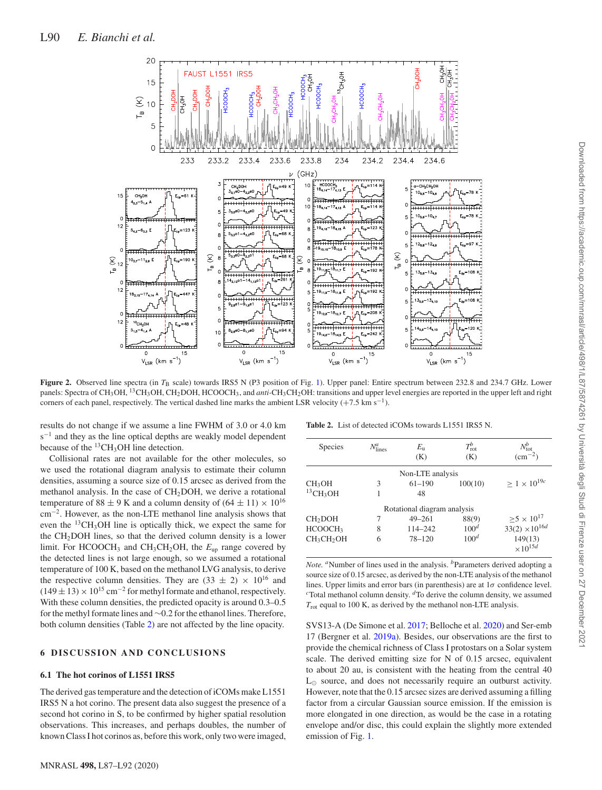

**Figure 2.** Observed line spectra (in  $T_B$  scale) towards IRS5 N (P3 position of Fig. 1). Upper panel: Entire spectrum between 232.8 and 234.7 GHz. Lower panels: Spectra of CH<sub>3</sub>OH, <sup>13</sup>CH<sub>3</sub>OH, CH<sub>2</sub>DOH, HCOOCH<sub>3</sub>, and *anti*-CH<sub>3</sub>CH<sub>2</sub>OH: transitions and upper level energies are reported in the upper left and right corners of each panel, respectively. The vertical dashed line marks the ambient LSR velocity  $(+7.5 \text{ km s}^{-1})$ .

results do not change if we assume a line FWHM of 3.0 or 4.0 km s<sup>-1</sup> and they as the line optical depths are weakly model dependent because of the  $^{13}CH_3OH$  line detection.

Collisional rates are not available for the other molecules, so we used the rotational diagram analysis to estimate their column densities, assuming a source size of 0.15 arcsec as derived from the methanol analysis. In the case of  $CH<sub>2</sub>DOH$ , we derive a rotational temperature of 88  $\pm$  9 K and a column density of (64  $\pm$  11)  $\times$  10<sup>16</sup> cm<sup>-2</sup>. However, as the non-LTE methanol line analysis shows that <sup>-2</sup>. However, as the non-LTE methanol line analysis shows that even the <sup>13</sup>CH<sub>3</sub>OH line is optically thick, we expect the same for the  $CH<sub>2</sub>DOH$  lines, so that the derived column density is a lower limit. For HCOOCH3 and CH3CH2OH, the *E*up range covered by the detected lines is not large enough, so we assumed a rotational temperature of 100 K, based on the methanol LVG analysis, to derive the respective column densities. They are  $(33 \pm 2) \times 10^{16}$  and  $(149 \pm 13) \times 10^{15}$  cm<sup>-2</sup> for methyl formate and ethanol, respectively. With these column densities, the predicted opacity is around 0.3–0.5 for the methyl formate lines and ∼0.2 for the ethanol lines. Therefore, both column densities (Table 2) are not affected by the line opacity.

#### **6 DISCUSSION AND CONCLUSIONS**

#### **6.1 The hot corinos of L1551 IRS5**

The derived gas temperature and the detection of iCOMs make L1551 IRS5 N a hot corino. The present data also suggest the presence of a second hot corino in S, to be confirmed by higher spatial resolution observations. This increases, and perhaps doubles, the number of known Class I hot corinos as, before this work, only two were imaged,

**Table 2.** List of detected iCOMs towards L1551 IRS5 N.

| Species                            | $N_{\text{lines}}^a$ | $E_{\rm u}$                 | $T_{\rm rot}^{b}$ | $N_{\text{tot}}^b$           |
|------------------------------------|----------------------|-----------------------------|-------------------|------------------------------|
|                                    |                      | (K)                         | (K)               | $\rm (cm^{-2})$              |
|                                    |                      | Non-LTE analysis            |                   |                              |
| CH <sub>3</sub> OH                 | 3                    | $61 - 190$                  | 100(10)           | $\geq 1 \times 10^{19c}$     |
| $^{13}$ CH <sub>3</sub> OH         |                      | 48                          |                   |                              |
|                                    |                      | Rotational diagram analysis |                   |                              |
| CH <sub>2</sub> DOH                |                      | $49 - 261$                  | 88(9)             | $\ge 5 \times 10^{17}$       |
| HCOOCH3                            | 8                    | 114-242                     | 100 <sup>d</sup>  | $33(2)\times10^{16d}$        |
| CH <sub>3</sub> CH <sub>2</sub> OH | 6                    | $78 - 120$                  | 100 <sup>d</sup>  | 149(13)<br>$\times 10^{15d}$ |

*Note.* <sup>*a*</sup>Number of lines used in the analysis. <sup>*b*</sup>Parameters derived adopting a source size of 0.15 arcsec, as derived by the non-LTE analysis of the methanol lines. Upper limits and error bars (in parenthesis) are at 1*σ* confidence level. <sup>*c*</sup>Total methanol column density.  ${}^d$ To derive the column density, we assumed  $T_{\text{rot}}$  equal to 100 K, as derived by the methanol non-LTE analysis.

SVS13-A (De Simone et al. 2017; Belloche et al. 2020) and Ser-emb 17 (Bergner et al. 2019a). Besides, our observations are the first to provide the chemical richness of Class I protostars on a Solar system scale. The derived emitting size for N of 0.15 arcsec, equivalent to about 20 au, is consistent with the heating from the central 40  $L_{\odot}$  source, and does not necessarily require an outburst activity. However, note that the 0.15 arcsec sizes are derived assuming a filling factor from a circular Gaussian source emission. If the emission is more elongated in one direction, as would be the case in a rotating envelope and/or disc, this could explain the slightly more extended emission of Fig. 1.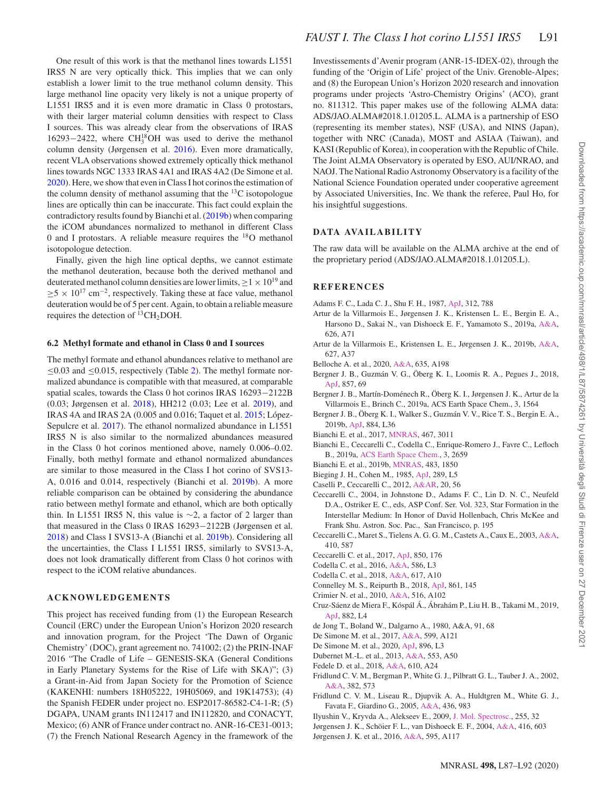One result of this work is that the methanol lines towards L1551 IRS5 N are very optically thick. This implies that we can only establish a lower limit to the true methanol column density. This large methanol line opacity very likely is not a unique property of L1551 IRS5 and it is even more dramatic in Class 0 protostars, with their larger material column densities with respect to Class I sources. This was already clear from the observations of IRAS 16293−2422, where CH<sup>18</sup>OH was used to derive the methanol column density (Jørgensen et al. 2016). Even more dramatically, recent VLA observations showed extremely optically thick methanol lines towards NGC 1333 IRAS 4A1 and IRAS 4A2 (De Simone et al. 2020). Here, we show that even in Class I hot corinos the estimation of the column density of methanol assuming that the  $^{13}$ C isotopologue lines are optically thin can be inaccurate. This fact could explain the contradictory results found by Bianchi et al. (2019b) when comparing the iCOM abundances normalized to methanol in different Class 0 and I protostars. A reliable measure requires the 18O methanol isotopologue detection.

Finally, given the high line optical depths, we cannot estimate the methanol deuteration, because both the derived methanol and deuterated methanol column densities are lower limits,  $\geq 1 \times 10^{19}$  and  $\geq 5 \times 10^{17}$  cm<sup>-2</sup>, respectively. Taking these at face value, methanol deuteration would be of 5 per cent. Again, to obtain a reliable measure requires the detection of  $^{13}CH_2DOH$ .

#### **6.2 Methyl formate and ethanol in Class 0 and I sources**

The methyl formate and ethanol abundances relative to methanol are  $\leq 0.03$  and  $\leq 0.015$ , respectively (Table 2). The methyl formate normalized abundance is compatible with that measured, at comparable spatial scales, towards the Class 0 hot corinos IRAS 16293−2122B (0.03; Jørgensen et al. 2018), HH212 (0.03; Lee et al. 2019), and IRAS 4A and IRAS 2A (0.005 and 0.016; Taquet et al. 2015; López-Sepulcre et al. 2017). The ethanol normalized abundance in L1551 IRS5 N is also similar to the normalized abundances measured in the Class 0 hot corinos mentioned above, namely 0.006–0.02. Finally, both methyl formate and ethanol normalized abundances are similar to those measured in the Class I hot corino of SVS13- A, 0.016 and 0.014, respectively (Bianchi et al. 2019b). A more reliable comparison can be obtained by considering the abundance ratio between methyl formate and ethanol, which are both optically thin. In L1551 IRS5 N, this value is ∼2, a factor of 2 larger than that measured in the Class 0 IRAS 16293−2122B (Jørgensen et al. 2018) and Class I SVS13-A (Bianchi et al. 2019b). Considering all the uncertainties, the Class I L1551 IRS5, similarly to SVS13-A, does not look dramatically different from Class 0 hot corinos with respect to the iCOM relative abundances.

#### **ACKNOWLEDGEMENTS**

This project has received funding from (1) the European Research Council (ERC) under the European Union's Horizon 2020 research and innovation program, for the Project 'The Dawn of Organic Chemistry' (DOC), grant agreement no. 741002; (2) the PRIN-INAF 2016 "The Cradle of Life – GENESIS-SKA (General Conditions in Early Planetary Systems for the Rise of Life with SKA)"; (3) a Grant-in-Aid from Japan Society for the Promotion of Science (KAKENHI: numbers 18H05222, 19H05069, and 19K14753); (4) the Spanish FEDER under project no. ESP2017-86582-C4-1-R; (5) DGAPA, UNAM grants IN112417 and IN112820, and CONACYT, Mexico; (6) ANR of France under contract no. ANR-16-CE31-0013; (7) the French National Research Agency in the framework of the Investissements d'Avenir program (ANR-15-IDEX-02), through the funding of the 'Origin of Life' project of the Univ. Grenoble-Alpes; and (8) the European Union's Horizon 2020 research and innovation programs under projects 'Astro-Chemistry Origins' (ACO), grant no. 811312. This paper makes use of the following ALMA data: ADS/JAO.ALMA#2018.1.01205.L. ALMA is a partnership of ESO (representing its member states), NSF (USA), and NINS (Japan), together with NRC (Canada), MOST and ASIAA (Taiwan), and KASI (Republic of Korea), in cooperation with the Republic of Chile. The Joint ALMA Observatory is operated by ESO, AUI/NRAO, and NAOJ. The National Radio Astronomy Observatory is a facility of the National Science Foundation operated under cooperative agreement by Associated Universities, Inc. We thank the referee, Paul Ho, for his insightful suggestions.

#### **DATA AVAILABILITY**

The raw data will be available on the ALMA archive at the end of the proprietary period (ADS/JAO.ALMA#2018.1.01205.L).

#### **REFERENCES**

- Adams F. C., Lada C. J., Shu F. H., 1987, [ApJ,](http://dx.doi.org/10.1086/164924) 312, 788
- Artur de la Villarmois E., Jørgensen J. K., Kristensen L. E., Bergin E. A., Harsono D., Sakai N., van Dishoeck E. F., Yamamoto S., 2019a, [A&A,](http://dx.doi.org/10.1051/0004-6361/201834877) 626, A71
- Artur de la Villarmois E., Kristensen L. E., Jørgensen J. K., 2019b, [A&A,](http://dx.doi.org/10.1051/0004-6361/201935575) 627, A37
- Belloche A. et al., 2020, [A&A,](http://dx.doi.org/10.1051/0004-6361/201937352) 635, A198
- Bergner J. B., Guzmán V. G., Öberg K. I., Loomis R. A., Pegues J., 2018, [ApJ,](http://dx.doi.org/10.3847/1538-4357/aab664) 857, 69
- Bergner J. B., Martín-Doménech R., Öberg K. I., Jørgensen J. K., Artur de la Villarmois E., Brinch C., 2019a, ACS Earth Space Chem., 3, 1564
- Bergner J. B., Öberg K. I., Walker S., Guzmán V. V., Rice T. S., Bergin E. A., 2019b, [ApJ,](http://dx.doi.org/10.3847/2041-8213/ab48f9) 884, L36
- Bianchi E. et al., 2017, [MNRAS,](http://dx.doi.org/10.1093/mnras/stx252) 467, 3011
- Bianchi E., Ceccarelli C., Codella C., Enrique-Romero J., Favre C., Lefloch B., 2019a, [ACS Earth Space Chem.,](http://dx.doi.org/10.1021/acsearthspacechem.9b00158) 3, 2659
- Bianchi E. et al., 2019b, [MNRAS,](http://dx.doi.org/10.1093/mnras/sty2915) 483, 1850
- Bieging J. H., Cohen M., 1985, [ApJ,](http://dx.doi.org/10.1086/184423) 289, L5
- Caselli P., Ceccarelli C., 2012, [A&AR,](http://dx.doi.org/10.1007/s00159-012-0056-x) 20, 56
- Ceccarelli C., 2004, in Johnstone D., Adams F. C., Lin D. N. C., Neufeld D.A., Ostriker E. C., eds, ASP Conf. Ser. Vol. 323, Star Formation in the Interstellar Medium: In Honor of David Hollenbach, Chris McKee and Frank Shu. Astron. Soc. Pac., San Francisco, p. 195
- Ceccarelli C., Maret S., Tielens A. G. G. M., Castets A., Caux E., 2003, [A&A,](http://dx.doi.org/10.1051/0004-6361:20031243) 410, 587
- Ceccarelli C. et al., 2017, [ApJ,](http://dx.doi.org/10.3847/1538-4357/aa961d) 850, 176
- Codella C. et al., 2016, [A&A,](http://dx.doi.org/10.1051/0004-6361/201527424) 586, L3
- Codella C. et al., 2018, [A&A,](http://dx.doi.org/10.1051/0004-6361/201832765) 617, A10
- Connelley M. S., Reipurth B., 2018, [ApJ,](http://dx.doi.org/10.3847/1538-4357/aaba7b) 861, 145
- Crimier N. et al., 2010, [A&A,](http://dx.doi.org/10.1051/0004-6361/200913499) 516, A102
- Cruz-Sáenz de Miera F., Kóspál Á., Ábrahám P., Liu H. B., Takami M., 2019, [ApJ,](http://dx.doi.org/10.3847/2041-8213/ab39ea) 882, L4
- de Jong T., Boland W., Dalgarno A., 1980, A&A, 91, 68
- De Simone M. et al., 2017, [A&A,](http://dx.doi.org/10.1051/0004-6361/201630049) 599, A121
- De Simone M. et al., 2020, [ApJ,](http://dx.doi.org/10.3847/2041-8213/ab8d41) 896, L3
- Dubernet M.-L. et al., 2013, [A&A,](http://dx.doi.org/10.1051/0004-6361/201220630) 553, A50
- Fedele D. et al., 2018, [A&A,](http://dx.doi.org/10.1051/0004-6361/201731978) 610, A24
- Fridlund C. V. M., Bergman P., White G. J., Pilbratt G. L., Tauber J. A., 2002, [A&A,](http://dx.doi.org/10.1051/0004-6361:20011519) 382, 573
- Fridlund C. V. M., Liseau R., Djupvik A. A., Huldtgren M., White G. J., Favata F., Giardino G., 2005, [A&A,](http://dx.doi.org/10.1051/0004-6361:20042399) 436, 983
- Ilyushin V., Kryvda A., Alekseev E., 2009, [J. Mol. Spectrosc.,](http://dx.doi.org/10.1016/j.jms.2009.01.016) 255, 32
- Jørgensen J. K., Schöier F. L., van Dishoeck E. F., 2004, [A&A,](http://dx.doi.org/10.1051/0004-6361:20034440) 416, 603
- Jørgensen J. K. et al., 2016, [A&A,](http://dx.doi.org/10.1051/0004-6361/201628648) 595, A117